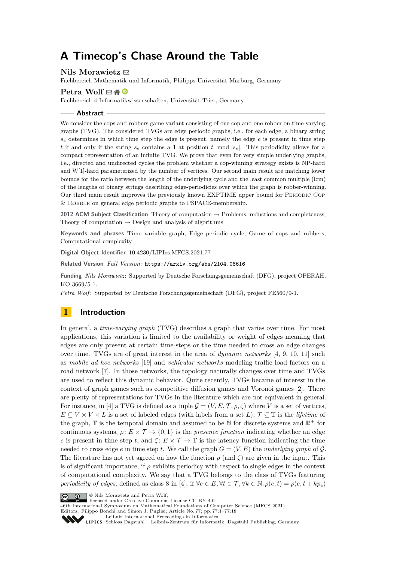# **A Timecop's Chase Around the Table**

# Nils Morawietz  $\boxtimes$

Fachbereich Mathematik und Informatik, Philipps-Universität Marburg, Germany

### **Petra Wolf**  $\boxtimes \triangleleft$   $\bullet$

Fachbereich 4 Informatikwissenschaften, Universität Trier, Germany

#### **Abstract**

We consider the cops and robbers game variant consisting of one cop and one robber on time-varying graphs (TVG). The considered TVGs are edge periodic graphs, i.e., for each edge, a binary string  $s_e$  determines in which time step the edge is present, namely the edge  $e$  is present in time step *t* if and only if the string  $s_e$  contains a 1 at position *t* mod  $|s_e|$ . This periodicity allows for a compact representation of an infinite TVG. We prove that even for very simple underlying graphs, i.e., directed and undirected cycles the problem whether a cop-winning strategy exists is NP-hard and W[1]-hard parameterized by the number of vertices. Our second main result are matching lower bounds for the ratio between the length of the underlying cycle and the least common multiple (lcm) of the lengths of binary strings describing edge-periodicies over which the graph is robber-winning. Our third main result improves the previously known EXPTIME upper bound for Periodic Cop & ROBBER on general edge periodic graphs to PSPACE-membership.

**2012 ACM Subject Classification** Theory of computation → Problems, reductions and completeness; Theory of computation  $\rightarrow$  Design and analysis of algorithms

**Keywords and phrases** Time variable graph, Edge periodic cycle, Game of cops and robbers, Computational complexity

**Digital Object Identifier** [10.4230/LIPIcs.MFCS.2021.77](https://doi.org/10.4230/LIPIcs.MFCS.2021.77)

**Related Version** *Full Version*: <https://arxiv.org/abs/2104.08616>

**Funding** *Nils Morawietz*: Supported by Deutsche Forschungsgemeinschaft (DFG), project OPERAH, KO 3669/5-1.

*Petra Wolf* : Supported by Deutsche Forschungsgemeinschaft (DFG), project FE560/9-1.

# **1 Introduction**

In general, a *time-varying graph* (TVG) describes a graph that varies over time. For most applications, this variation is limited to the availability or weight of edges meaning that edges are only present at certain time-steps or the time needed to cross an edge changes over time. TVGs are of great interest in the area of *dynamic networks* [\[4,](#page-13-0) [9,](#page-13-1) [10,](#page-13-2) [11\]](#page-13-3) such as *mobile ad hoc networks* [\[19\]](#page-14-0) and *vehicular networks* modeling traffic load factors on a road network [\[7\]](#page-13-4). In those networks, the topology naturally changes over time and TVGs are used to reflect this dynamic behavior. Quite recently, TVGs became of interest in the context of graph games such as competitive diffusion games and Voronoi games [\[2\]](#page-13-5). There are plenty of representations for TVGs in the literature which are not equivalent in general. For instance, in [\[4\]](#page-13-0) a TVG is defined as a tuple  $\mathcal{G} = (V, E, \mathcal{T}, \rho, \zeta)$  where *V* is a set of vertices,  $E \subseteq V \times V \times L$  is a set of labeled edges (with labels from a set *L*),  $\mathcal{T} \subseteq \mathbb{T}$  is the *lifetime* of the graph,  $\mathbb T$  is the temporal domain and assumed to be  $\mathbb N$  for discrete systems and  $\mathbb R^+$  for continuous systems,  $\rho: E \times \mathcal{T} \to \{0, 1\}$  is the *presence function* indicating whether an edge *e* is present in time step *t*, and  $\zeta$ :  $E \times T \to T$  is the latency function indicating the time needed to cross edge *e* in time step *t*. We call the graph  $G = (V, E)$  the *underlying graph* of G. The literature has not yet agreed on how the function  $\rho$  (and  $\zeta$ ) are given in the input. This is of significant importance, if  $\rho$  exhibits periodicy with respect to single edges in the context of computational complexity. We say that a TVG belongs to the class of TVGs featuring *periodicity of edges*, defined as class 8 in [\[4\]](#page-13-0), if  $\forall e \in E, \forall t \in \mathcal{T}, \forall k \in \mathbb{N}, \rho(e, t) = \rho(e, t + kp_e)$ 



licensed under Creative Commons License CC-BY 4.0

46th International Symposium on Mathematical Foundations of Computer Science (MFCS 2021).

Editors: Filippo Bonchi and Simon J. Puglisi; Article No. 77; pp. 77:1–77:18 [Leibniz International Proceedings in Informatics](https://www.dagstuhl.de/lipics/)

[Schloss Dagstuhl – Leibniz-Zentrum für Informatik, Dagstuhl Publishing, Germany](https://www.dagstuhl.de)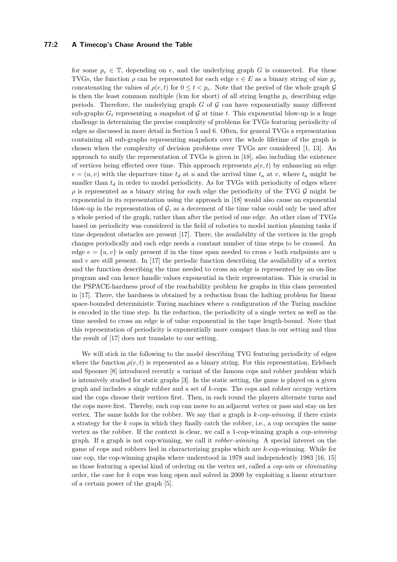# **77:2 A Timecop's Chase Around the Table**

for some  $p_e \in \mathbb{T}$ , depending on *e*, and the underlying graph *G* is connected. For these TVGs, the function  $\rho$  can be represented for each edge  $e \in E$  as a binary string of size  $p_e$ concatenating the values of  $\rho(e, t)$  for  $0 \le t \le p_e$ . Note that the period of the whole graph  $\mathcal G$ is then the least common multiple (lcm for short) of all string lengths  $p_e$  describing edge periods. Therefore, the underlying graph  $G$  of  $G$  can have exponentially many different sub-graphs  $G_t$  representing a snapshot of  $\mathcal G$  at time  $t$ . This exponential blow-up is a huge challenge in determining the precise complexity of problems for TVGs featuring periodicity of edges as discussed in more detail in Section [5](#page-10-0) and [6.](#page-12-0) Often, for general TVGs a representation containing all sub-graphs representing snapshots over the whole lifetime of the graph is chosen when the complexity of decision problems over TVGs are considered [\[1,](#page-13-6) [13\]](#page-13-7). An approach to unify the representation of TVGs is given in [\[18\]](#page-14-1), also including the existence of vertices being effected over time. This approach represents  $\rho(e, t)$  by enhancing an edge  $e = (u, v)$  with the departure time  $t_d$  at *u* and the arrival time  $t_a$  at *v*, where  $t_a$  might be smaller than  $t_d$  in order to model periodicity. As for TVGs with periodicity of edges where  $\rho$  is represented as a binary string for each edge the periodicity of the TVG  $\mathcal G$  might be exponential in its representation using the approach in [\[18\]](#page-14-1) would also cause an exponential blow-up in the representation of  $\mathcal{G}$ , as a decrement of the time value could only be used after a whole period of the graph, rather than after the period of one edge. An other class of TVGs based on periodicity was considered in the field of robotics to model motion planning tasks if time dependent obstacles are present [\[17\]](#page-13-8). There, the availability of the vertices in the graph changes periodically and each edge needs a constant number of time steps to be crossed. An edge  $e = \{u, v\}$  is only present if in the time span needed to cross *e* both endpoints are *u* and  $v$  are still present. In [\[17\]](#page-13-8) the periodic function describing the availability of a vertex and the function describing the time needed to cross an edge is represented by an on-line program and can hence handle values exponential in their representation. This is crucial in the PSPACE-hardness proof of the reachability problem for graphs in this class presented in [\[17\]](#page-13-8). There, the hardness is obtained by a reduction from the halting problem for linear space-bounded deterministic Turing machines where a configuration of the Turing machine is encoded in the time step. In the reduction, the periodicity of a single vertex as well as the time needed to cross an edge is of value exponential in the tape length-bound. Note that this representation of periodicity is exponentially more compact than in our setting and thus the result of [\[17\]](#page-13-8) does not translate to our setting.

We will stick in the following to the model describing TVG featuring periodicity of edges where the function  $\rho(e, t)$  is represented as a binary string. For this representation, Erlebach and Spooner [\[8\]](#page-13-9) introduced recently a variant of the famous cops and robber problem which is intensively studied for static graphs [\[3\]](#page-13-10). In the static setting, the game is played on a given graph and includes a single robber and a set of *k*-cops. The cops and robber occupy vertices and the cops choose their vertices first. Then, in each round the players alternate turns and the cops move first. Thereby, each cop can move to an adjacent vertex or pass and stay on her vertex. The same holds for the robber. We say that a graph is *k-cop-winning*, if there exists a strategy for the *k* cops in which they finally catch the robber, i.e., a cop occupies the same vertex as the robber. If the context is clear, we call a 1-cop-winning graph a *cop-winning* graph. If a graph is not cop-winning, we call it *robber-winning*. A special interest on the game of cops and robbers lied in characterizing graphs which are *k*-cop-winning. While for one cop, the cop-winning graphs where understood in 1978 and independently 1983 [\[16,](#page-13-11) [15\]](#page-13-12) as those featuring a special kind of ordering on the vertex set, called a *cop-win* or *eliminating* order, the case for *k* cops was long open and solved in 2009 by exploiting a linear structure of a certain power of the graph [\[5\]](#page-13-13).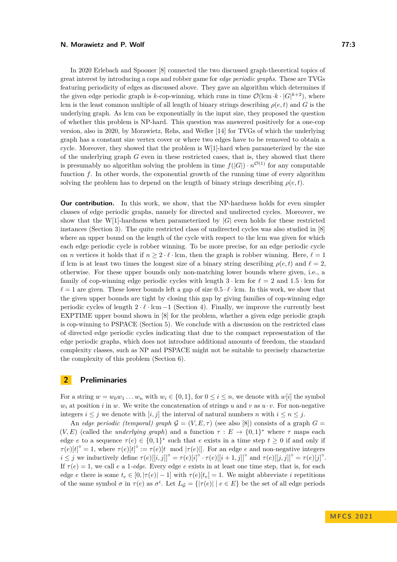In 2020 Erlebach and Spooner [\[8\]](#page-13-9) connected the two discussed graph-theoretical topics of great interest by introducing a cops and robber game for *edge periodic graphs*. These are TVGs featuring periodicity of edges as discussed above. They gave an algorithm which determines if the given edge periodic graph is *k*-cop-winning, which runs in time  $\mathcal{O}(\text{km} \cdot k \cdot |G|^{k+2})$ , where lcm is the least common multiple of all length of binary strings describing  $\rho(e, t)$  and *G* is the underlying graph. As lcm can be exponentially in the input size, they proposed the question of whether this problem is NP-hard. This question was answered positively for a one-cop version, also in 2020, by Morawietz, Rehs, and Weller [\[14\]](#page-13-14) for TVGs of which the underlying graph has a constant size vertex cover or where two edges have to be removed to obtain a cycle. Moreover, they showed that the problem is  $W[1]$ -hard when parameterized by the size of the underlying graph *G* even in these restricted cases, that is, they showed that there is presumably no algorithm solving the problem in time  $f(|G|) \cdot n^{\mathcal{O}(1)}$  for any computable function *f*. In other words, the exponential growth of the running time of every algorithm solving the problem has to depend on the length of binary strings describing  $\rho(e,t)$ .

**Our contribution.** In this work, we show, that the NP-hardness holds for even simpler classes of edge periodic graphs, namely for directed and undirected cycles. Moreover, we show that the W[1]-hardness when parameterized by  $|G|$  even holds for these restricted instances (Section [3\)](#page-3-0). The quite restricted class of undirected cycles was also studied in [\[8\]](#page-13-9) where an upper bound on the length of the cycle with respect to the lcm was given for which each edge periodic cycle is robber winning. To be more precise, for an edge periodic cycle on *n* vertices it holds that if  $n \geq 2 \cdot \ell \cdot$  lcm, then the graph is robber winning. Here,  $\ell = 1$ if lcm is at least two times the longest size of a binary string describing  $\rho(e, t)$  and  $\ell = 2$ , otherwise. For these upper bounds only non-matching lower bounds where given, i.e., a family of cop-winning edge periodic cycles with length  $3 \cdot \text{ lcm}$  for  $\ell = 2$  and  $1.5 \cdot \text{ lcm}$  for  $\ell = 1$  are given. These lower bounds left a gap of size  $0.5 \cdot \ell \cdot$  lcm. In this work, we show that the given upper bounds are tight by closing this gap by giving families of cop-winning edge periodic cycles of length  $2 \cdot \ell \cdot \text{lcm} - 1$  (Section [4\)](#page-7-0). Finally, we improve the currently best EXPTIME upper bound shown in [\[8\]](#page-13-9) for the problem, whether a given edge periodic graph is cop-winning to PSPACE (Section [5\)](#page-10-0). We conclude with a discussion on the restricted class of directed edge periodic cycles indicating that due to the compact representation of the edge periodic graphs, which does not introduce additional amounts of freedom, the standard complexity classes, such as NP and PSPACE might not be suitable to precisely characterize the complexity of this problem (Section [6\)](#page-12-0).

# **2 Preliminaries**

For a string  $w = w_0w_1 \ldots w_n$  with  $w_i \in \{0,1\}$ , for  $0 \le i \le n$ , we denote with  $w[i]$  the symbol  $w_i$  at position *i* in *w*. We write the concatenation of strings *u* and *v* as  $u \cdot v$ . For non-negative integers  $i \leq j$  we denote with  $[i, j]$  the interval of natural numbers *n* with  $i \leq n \leq j$ .

An *edge periodic (temporal) graph*  $G = (V, E, \tau)$  (see also [\[8\]](#page-13-9)) consists of a graph  $G =$  $(V, E)$  (called the *underlying graph*) and a function  $\tau : E \to \{0, 1\}^*$  where  $\tau$  maps each edge *e* to a sequence  $\tau(e) \in \{0,1\}^*$  such that *e* exists in a time step  $t \geq 0$  if and only if  $\tau(e)[t]^\circ = 1$ , where  $\tau(e)[t]^\circ := \tau(e)[t \mod |\tau(e)|]$ . For an edge *e* and non-negative integers  $i \leq j$  we inductively define  $\tau(e)[[i,j]]^{\circ} = \tau(e)[i]^{\circ} \cdot \tau(e)[[i+1,j]]^{\circ}$  and  $\tau(e)[[j,j]]^{\circ} = \tau(e)[j]^{\circ}$ . If  $\tau(e) = 1$ , we call *e* a 1*-edge*. Every edge *e* exists in at least one time step, that is, for each edge *e* there is some  $t_e \in [0, |\tau(e)| - 1]$  with  $\tau(e)[t_e] = 1$ . We might abbreviate *i* repetitions of the same symbol  $\sigma$  in  $\tau(e)$  as  $\sigma^i$ . Let  $L_g = \{|\tau(e)| \mid e \in E\}$  be the set of all edge periods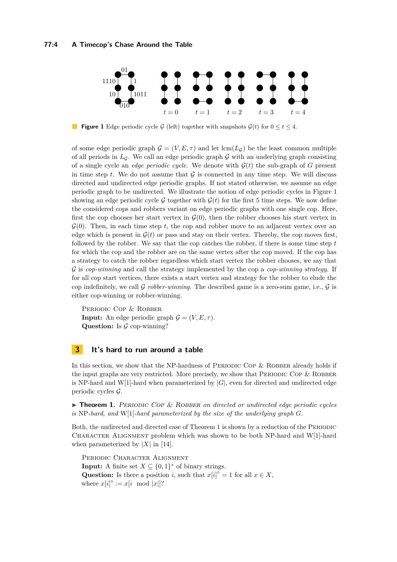<span id="page-3-1"></span>

**Figure 1** Edge periodic cycle G (left) together with snapshots  $G(t)$  for  $0 \le t \le 4$ .

of some edge periodic graph  $\mathcal{G} = (V, E, \tau)$  and let  $\text{lcm}(L_{\mathcal{G}})$  be the least common multiple of all periods in  $L_G$ . We call an edge periodic graph  $G$  with an underlying graph consisting of a single cycle an *edge periodic cycle*. We denote with  $\mathcal{G}(t)$  the sub-graph of *G* present in time step  $t$ . We do not assume that  $\mathcal G$  is connected in any time step. We will discuss directed and undirected edge periodic graphs. If not stated otherwise, we assume an edge periodic graph to be undirected. We illustrate the notion of edge periodic cycles in Figure [1](#page-3-1) showing an edge periodic cycle G together with  $G(t)$  for the first 5 time steps. We now define the considered cops and robbers variant on edge periodic graphs with one single cop. Here, first the cop chooses her start vertex in  $\mathcal{G}(0)$ , then the robber chooses his start vertex in  $\mathcal{G}(0)$ . Then, in each time step t, the cop and robber move to an adjacent vertex over an edge which is present in  $\mathcal{G}(t)$  or pass and stay on their vertex. Thereby, the cop moves first, followed by the robber. We say that the cop catches the robber, if there is some time step *t* for which the cop and the robber are on the same vertex after the cop moved. If the cop has a strategy to catch the robber regardless which start vertex the robber chooses, we say that G is *cop-winning* and call the strategy implemented by the cop a *cop-winning strategy*. If for all cop start vertices, there exists a start vertex and strategy for the robber to elude the cop indefinitely, we call  $\mathcal G$  *robber-winning*. The described game is a zero-sum game, i.e.,  $\mathcal G$  is either cop-winning or robber-winning.

PERIODIC COP & ROBBER **Input:** An edge periodic graph  $\mathcal{G} = (V, E, \tau)$ . **Question:** Is  $\mathcal G$  cop-winning?

# <span id="page-3-0"></span>**3 It's hard to run around a table**

In this section, we show that the NP-hardness of PERIODIC COP  $&$  ROBBER already holds if the input graphs are very restricted. More precisely, we show that PERIODIC COP  $\&$  ROBBER is NP-hard and W[1]-hard when parameterized by  $|G|$ , even for directed and undirected edge periodic cycles G.

<span id="page-3-2"></span>▶ **Theorem 1.** PERIODIC COP & ROBBER on directed or undirected edge periodic cycles is NP-hard, and W[1]-hard parameterized by the size of the underlying graph  $G$ .

Both, the undirected and directed case of Theorem [1](#page-3-2) is shown by a reduction of the PERIODIC Character Alignment problem which was shown to be both NP-hard and W[1]-hard when parameterized by  $|X|$  in [\[14\]](#page-13-14).

PERIODIC CHARACTER ALIGNMENT **Input:** A finite set  $X \subseteq \{0,1\}^*$  of binary strings. Question: Is there a position *i*, such that  $x[i]$ <sup>°</sup> = 1 for all  $x \in X$ , where  $x[i]^\circ := x[i \mod |x|]$ ?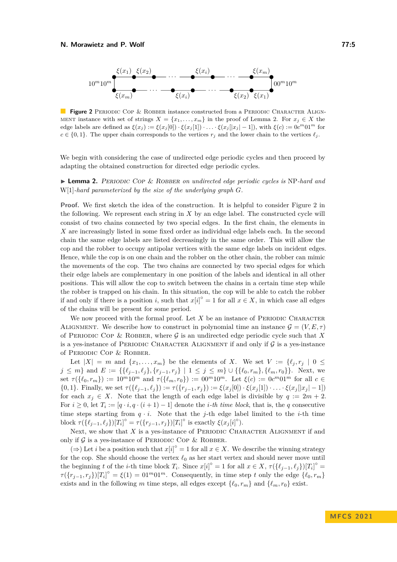<span id="page-4-1"></span>

**Figure 2** PERIODIC COP & ROBBER instance constructed from a PERIODIC CHARACTER ALIGN-MENT instance with set of strings  $X = \{x_1, \ldots, x_m\}$  in the proof of Lemma [2.](#page-4-0) For  $x_j \in X$  the edge labels are defined as  $\xi(x_j) := \xi(x_j[0]) \cdot \xi(x_j[1]) \cdot \ldots \cdot \xi(x_j[|x_j|-1])$ , with  $\xi(c) := 0 \cdot c^m 01^m$  for  $c \in \{0, 1\}$ . The upper chain corresponds to the vertices  $r_j$  and the lower chain to the vertices  $\ell_j$ .

We begin with considering the case of undirected edge periodic cycles and then proceed by adapting the obtained construction for directed edge periodic cycles.

<span id="page-4-0"></span>▶ **Lemma 2.** Periodic Cop & Robber *on undirected edge periodic cycles is* NP*-hard and* W[1]*-hard parameterized by the size of the underlying graph G.*

**Proof.** We first sketch the idea of the construction. It is helpful to consider Figure [2](#page-4-1) in the following. We represent each string in *X* by an edge label. The constructed cycle will consist of two chains connected by two special edges. In the first chain, the elements in *X* are increasingly listed in some fixed order as individual edge labels each. In the second chain the same edge labels are listed decreasingly in the same order. This will allow the cop and the robber to occupy antipolar vertices with the same edge labels on incident edges. Hence, while the cop is on one chain and the robber on the other chain, the robber can mimic the movements of the cop. The two chains are connected by two special edges for which their edge labels are complementary in one position of the labels and identical in all other positions. This will allow the cop to switch between the chains in a certain time step while the robber is trapped on his chain. In this situation, the cop will be able to catch the robber if and only if there is a position *i*, such that  $x[i]$ <sup> $\circ$ </sup> = 1 for all  $x \in X$ , in which case all edges of the chains will be present for some period.

We now proceed with the formal proof. Let  $X$  be an instance of PERIODIC CHARACTER ALIGNMENT. We describe how to construct in polynomial time an instance  $\mathcal{G} = (V, E, \tau)$ of PERIODIC COP & ROBBER, where  $\mathcal G$  is an undirected edge periodic cycle such that X is a yes-instance of PERIODIC CHARACTER ALIGNMENT if and only if  $G$  is a yes-instance of Periodic Cop & Robber.

Let  $|X| = m$  and  $\{x_1, \ldots, x_m\}$  be the elements of *X*. We set  $V := \{\ell_j, r_j \mid 0 \leq j \leq m_j\}$  $j \leq m$ } and  $E := \{\{\ell_{j-1}, \ell_j\}, \{r_{j-1}, r_j\} \mid 1 \leq j \leq m\} \cup \{\{\ell_0, r_m\}, \{\ell_m, r_0\}\}\.$  Next, we set  $\tau(\{\ell_0, r_m\}) := 10^m 10^m$  and  $\tau(\{\ell_m, r_0\}) := 00^m 10^m$ . Let  $\xi(c) := 0c^m 01^m$  for all  $c \in$  $\{0,1\}.$  Finally, we set  $\tau(\{\ell_{j-1},\ell_j\}) := \tau(\{r_{j-1},r_j\}) := \xi(x_j[0]) \cdot \xi(x_j[1]) \cdot \ldots \cdot \xi(x_j[|x_j|-1])$ for each  $x_j \in X$ . Note that the length of each edge label is divisible by  $q := 2m + 2$ . For  $i \geq 0$ , let  $T_i := [q \cdot i, q \cdot (i+1) - 1]$  denote the *i*-th time block, that is, the *q* consecutive time steps starting from  $q \cdot i$ . Note that the *j*-th edge label limited to the *i*-th time block  $\tau(\{\ell_{j-1}, \ell_j\})[T_i]^\circ = \tau(\{r_{j-1}, r_j\})[T_i]^\circ$  is exactly  $\xi(x_j[i]^\circ)$ .

Next, we show that *X* is a yes-instance of PERIODIC CHARACTER ALIGNMENT if and only if  $G$  is a yes-instance of PERIODIC COP & ROBBER.

(⇒) Let *i* be a position such that  $x[i]$ <sup>°</sup> = 1 for all  $x \in X$ . We describe the winning strategy for the cop. She should choose the vertex *ℓ*<sup>0</sup> as her start vertex and should never move until the beginning *t* of the *i*-th time block  $T_i$ . Since  $x[i]^\circ = 1$  for all  $x \in X$ ,  $\tau(\{\ell_{j-1}, \ell_j\})[T_i]^\circ =$  $\tau(\{r_{j-1}, r_j\})[T_i]^\circ = \xi(1) = 01^m 01^m$ . Consequently, in time step *t* only the edge  $\{\ell_0, r_m\}$ exists and in the following *m* time steps, all edges except  $\{\ell_0, r_m\}$  and  $\{\ell_m, r_0\}$  exist.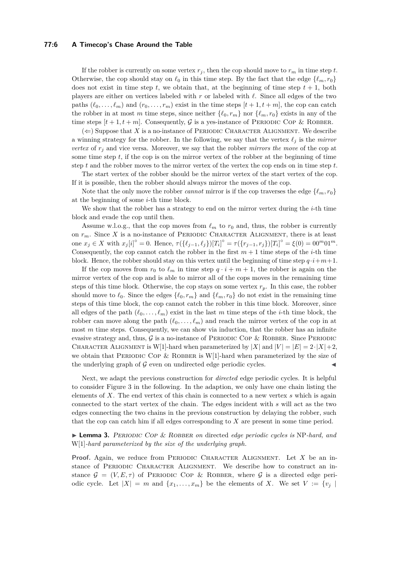#### **77:6 A Timecop's Chase Around the Table**

If the robber is currently on some vertex  $r_j$ , then the cop should move to  $r_m$  in time step  $t$ . Otherwise, the cop should stay on  $\ell_0$  in this time step. By the fact that the edge  $\{\ell_m, r_0\}$ does not exist in time step  $t$ , we obtain that, at the beginning of time step  $t + 1$ , both players are either on vertices labeled with *r* or labeled with *ℓ*. Since all edges of the two paths  $(\ell_0, \ldots, \ell_m)$  and  $(r_0, \ldots, r_m)$  exist in the time steps  $[t+1, t+m]$ , the cop can catch the robber in at most *m* time steps, since neither  $\{\ell_0, r_m\}$  nor  $\{\ell_m, r_0\}$  exists in any of the time steps  $[t + 1, t + m]$ . Consequently, G is a yes-instance of PERIODIC COP & ROBBER.

 $(\Leftarrow)$  Suppose that *X* is a no-instance of PERIODIC CHARACTER ALIGNMENT. We describe a winning strategy for the robber. In the following, we say that the vertex *ℓ<sup>j</sup>* is the *mirror vertex* of *r<sup>j</sup>* and vice versa. Moreover, we say that the robber *mirrors the move* of the cop at some time step *t*, if the cop is on the mirror vertex of the robber at the beginning of time step *t* and the robber moves to the mirror vertex of the vertex the cop ends on in time step *t*.

The start vertex of the robber should be the mirror vertex of the start vertex of the cop. If it is possible, then the robber should always mirror the moves of the cop.

Note that the only move the robber *cannot* mirror is if the cop traverses the edge  $\{\ell_m, r_0\}$ at the beginning of some *i*-th time block.

We show that the robber has a strategy to end on the mirror vertex during the *i*-th time block and evade the cop until then.

Assume w.l.o.g., that the cop moves from  $\ell_m$  to  $r_0$  and, thus, the robber is currently on  $r_m$ . Since X is a no-instance of PERIODIC CHARACTER ALIGNMENT, there is at least one  $x_j \in X$  with  $x_j[i]^\circ = 0$ . Hence,  $\tau(\{\ell_{j-1}, \ell_j\})[T_i]^\circ = \tau(\{r_{j-1}, r_j\})[T_i]^\circ = \xi(0) = 00^m 01^m$ . Consequently, the cop cannot catch the robber in the first  $m + 1$  time steps of the *i*-th time block. Hence, the robber should stay on this vertex until the beginning of time step  $q \cdot i + m + 1$ .

If the cop moves from  $r_0$  to  $\ell_m$  in time step  $q \cdot i + m + 1$ , the robber is again on the mirror vertex of the cop and is able to mirror all of the cops moves in the remaining time steps of this time block. Otherwise, the cop stays on some vertex  $r_p$ . In this case, the robber should move to  $\ell_0$ . Since the edges  $\{\ell_0, r_m\}$  and  $\{\ell_m, r_0\}$  do not exist in the remaining time steps of this time block, the cop cannot catch the robber in this time block. Moreover, since all edges of the path  $(\ell_0, \ldots, \ell_m)$  exist in the last *m* time steps of the *i*-th time block, the robber can move along the path  $(\ell_0, \ldots, \ell_m)$  and reach the mirror vertex of the cop in at most *m* time steps. Consequently, we can show via induction, that the robber has an infinite evasive strategy and, thus,  $G$  is a no-instance of PERIODIC COP & ROBBER. Since PERIODIC CHARACTER ALIGNMENT is W[1]-hard when parameterized by  $|X|$  and  $|V| = |E| = 2 \cdot |X| + 2$ , we obtain that PERIODIC COP & ROBBER is W[1]-hard when parameterized by the size of the underlying graph of  $\mathcal G$  even on undirected edge periodic cycles.

Next, we adapt the previous construction for *directed* edge periodic cycles. It is helpful to consider Figure [3](#page-6-0) in the following. In the adaption, we only have one chain listing the elements of *X*. The end vertex of this chain is connected to a new vertex *s* which is again connected to the start vertex of the chain. The edges incident with *s* will act as the two edges connecting the two chains in the previous construction by delaying the robber, such that the cop can catch him if all edges corresponding to *X* are present in some time period.

<span id="page-5-0"></span>▶ **Lemma 3.** Periodic Cop & Robber *on* directed *edge periodic cycles is* NP*-hard, and* W[1]*-hard parameterized by the size of the underlying graph.*

**Proof.** Again, we reduce from PERIODIC CHARACTER ALIGNMENT. Let *X* be an instance of PERIODIC CHARACTER ALIGNMENT. We describe how to construct an instance  $\mathcal{G} = (V, E, \tau)$  of PERIODIC COP & ROBBER, where  $\mathcal{G}$  is a directed edge periodic cycle. Let  $|X| = m$  and  $\{x_1, \ldots, x_m\}$  be the elements of X. We set  $V := \{v_j \mid$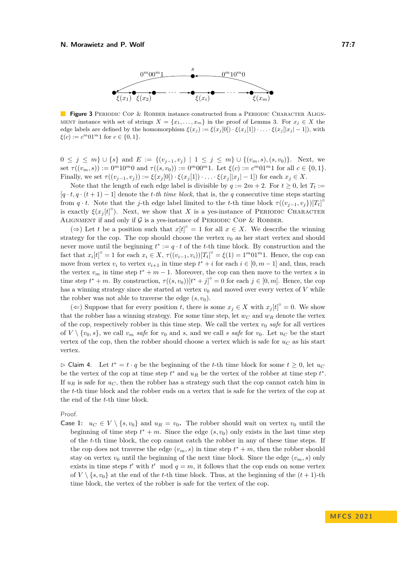<span id="page-6-0"></span>

**Figure 3** PERIODIC COP & ROBBER instance constructed from a PERIODIC CHARACTER ALIGN-MENT instance with set of strings  $X = \{x_1, \ldots, x_m\}$  in the proof of Lemma [3.](#page-5-0) For  $x_i \in X$  the edge labels are defined by the homomorphism  $\xi(x_j) := \xi(x_j[0]) \cdot \xi(x_j[1]) \cdot \ldots \cdot \xi(x_j[|x_j|-1])$ , with  $\xi(c) := c^m 01^m 1$  for  $c \in \{0, 1\}.$ 

0 ≤ *j* ≤ *m*} ∪ {*s*} and *E* := { $(v_{j-1}, v_j)$  | 1 ≤ *j* ≤ *m*} ∪ { $(v_m, s)$ ,  $(s, v_0)$ }. Next, we set  $\tau((v_m, s)) := 0^m 10^m 0$  and  $\tau((s, v_0)) := 0^m 00^m 1$ . Let  $\xi(c) := c^m 01^m 1$  for all  $c \in \{0, 1\}$ . Finally, we set  $\tau((v_{j-1}, v_j)) := \xi(x_j[0]) \cdot \xi(x_j[1]) \cdot \ldots \cdot \xi(x_j[|x_j|-1])$  for each  $x_j \in X$ .

Note that the length of each edge label is divisible by  $q := 2m + 2$ . For  $t \ge 0$ , let  $T_t :=$  $[q \cdot t, q \cdot (t+1) - 1]$  denote the *t*-th time block, that is, the *q* consecutive time steps starting from *q* · *t*. Note that the *j*-th edge label limited to the *t*-th time block  $\tau((v_{j-1}, v_j))[T_t]^c$ is exactly  $\xi(x_j[t])$ <sup>o</sup>). Next, we show that *X* is a yes-instance of PERIODIC CHARACTER ALIGNMENT if and only if  $G$  is a yes-instance of PERIODIC COP & ROBBER.

(⇒) Let *t* be a position such that  $x[t]$ <sup>°</sup> = 1 for all  $x \in X$ . We describe the winning strategy for the cop. The cop should choose the vertex  $v_0$  as her start vertex and should never move until the beginning  $t^* := q \cdot t$  of the *t*-th time block. By construction and the fact that  $x_i[t]$ <sup>°</sup> = 1 for each  $x_i \in X$ ,  $\tau((v_{i-1}, v_i))[T_t]$ <sup>°</sup> =  $\xi(1) = 1^m 01^m 1$ . Hence, the cop can move from vertex  $v_i$  to vertex  $v_{i+1}$  in time step  $t^* + i$  for each  $i \in [0, m-1]$  and, thus, reach the vertex  $v_m$  in time step  $t^* + m - 1$ . Moreover, the cop can then move to the vertex *s* in time step  $t^* + m$ . By construction,  $\tau((s, v_0))[t^* + j]^{\circ} = 0$  for each  $j \in [0, m]$ . Hence, the cop has a winning strategy since she started at vertex  $v_0$  and moved over every vertex of  $V$  while the robber was not able to traverse the edge  $(s, v_0)$ .

(←) Suppose that for every position *t*, there is some  $x_j \in X$  with  $x_j[t]$ <sup>°</sup> = 0. We show that the robber has a winning strategy. For some time step, let  $w_C$  and  $w_R$  denote the vertex of the cop, respectively robber in this time step. We call the vertex  $v_0$  *safe* for all vertices of  $V \setminus \{v_0, s\}$ , we call  $v_m$  *safe* for  $v_0$  and *s*, and we call *s safe* for  $v_0$ . Let  $u_C$  be the start vertex of the cop, then the robber should choose a vertex which is safe for  $u_C$  as his start vertex.

<span id="page-6-1"></span> $\rhd$  Claim 4. Let  $t^* = t \cdot q$  be the beginning of the *t*-th time block for some  $t ≥ 0$ , let  $u_C$ be the vertex of the cop at time step  $t^*$  and  $u_R$  be the vertex of the robber at time step  $t^*$ . If  $u_R$  is safe for  $u_C$ , then the robber has a strategy such that the cop cannot catch him in the *t*-th time block and the robber ends on a vertex that is safe for the vertex of the cop at the end of the *t*-th time block.

Proof.

**Case 1:**  $u_C \in V \setminus \{s, v_0\}$  and  $u_R = v_0$ . The robber should wait on vertex  $v_0$  until the beginning of time step  $t^* + m$ . Since the edge  $(s, v_0)$  only exists in the last time step of the *t*-th time block, the cop cannot catch the robber in any of these time steps. If the cop does not traverse the edge  $(v_m, s)$  in time step  $t^* + m$ , then the robber should stay on vertex  $v_0$  until the beginning of the next time block. Since the edge  $(v_m, s)$  only exists in time steps  $t'$  with  $t'$  mod  $q = m$ , it follows that the cop ends on some vertex of  $V \setminus \{s, v_0\}$  at the end of the *t*-th time block. Thus, at the beginning of the  $(t+1)$ -th time block, the vertex of the robber is safe for the vertex of the cop.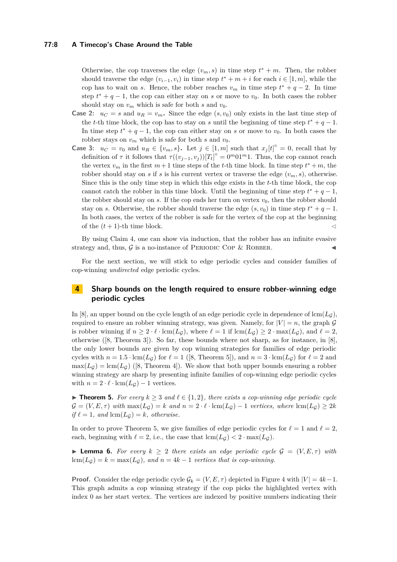### **77:8 A Timecop's Chase Around the Table**

Otherwise, the cop traverses the edge  $(v_m, s)$  in time step  $t^* + m$ . Then, the robber should traverse the edge  $(v_{i-1}, v_i)$  in time step  $t^* + m + i$  for each  $i \in [1, m]$ , while the cop has to wait on *s*. Hence, the robber reaches  $v_m$  in time step  $t^* + q - 2$ . In time step  $t^* + q - 1$ , the cop can either stay on *s* or move to  $v_0$ . In both cases the robber should stay on  $v_m$  which is safe for both  $s$  and  $v_0$ .

- **Case 2:**  $u_C = s$  and  $u_R = v_m$ . Since the edge  $(s, v_0)$  only exists in the last time step of the *t*-th time block, the cop has to stay on *s* until the beginning of time step  $t^* + q - 1$ . In time step  $t^* + q - 1$ , the cop can either stay on *s* or move to  $v_0$ . In both cases the robber stays on  $v_m$  which is safe for both *s* and  $v_0$ .
- **Case 3:**  $u_C = v_0$  and  $u_R \in \{v_m, s\}$ . Let  $j \in [1, m]$  such that  $x_j[t]^\circ = 0$ , recall that by definition of  $\tau$  it follows that  $\tau((v_{j-1}, v_j))[T_t]^{\circ} = 0^m 01^m 1$ . Thus, the cop cannot reach the vertex  $v_m$  in the first  $m+1$  time steps of the *t*-th time block. In time step  $t^* + m$ , the robber should stay on *s* if *s* is his current vertex or traverse the edge  $(v_m, s)$ , otherwise. Since this is the only time step in which this edge exists in the *t*-th time block, the cop cannot catch the robber in this time block. Until the beginning of time step  $t^* + q - 1$ , the robber should stay on  $s$ . If the cop ends her turn on vertex  $v_0$ , then the robber should stay on *s*. Otherwise, the robber should traverse the edge  $(s, v_0)$  in time step  $t^* + q - 1$ . In both cases, the vertex of the robber is safe for the vertex of the cop at the beginning of the  $(t+1)$ -th time block.  $\lhd$

By using Claim [4,](#page-6-1) one can show via induction, that the robber has an infinite evasive strategy and, thus,  $\mathcal G$  is a no-instance of PERIODIC COP & ROBBER.

For the next section, we will stick to edge periodic cycles and consider families of cop-winning *undirected* edge periodic cycles.

# <span id="page-7-0"></span>**4 Sharp bounds on the length required to ensure robber-winning edge periodic cycles**

In [\[8\]](#page-13-9), an upper bound on the cycle length of an edge periodic cycle in dependence of  $\text{lcm}(L_G)$ , required to ensure an robber winning strategy, was given. Namely, for  $|V| = n$ , the graph G is robber winning if  $n \geq 2 \cdot \ell \cdot \text{lcm}(L_{\mathcal{G}})$ , where  $\ell = 1$  if  $\text{lcm}(L_{\mathcal{G}}) \geq 2 \cdot \text{max}(L_{\mathcal{G}})$ , and  $\ell = 2$ , otherwise ([\[8,](#page-13-9) Theorem 3]). So far, these bounds where not sharp, as for instance, in [\[8\]](#page-13-9), the only lower bounds are given by cop winning strategies for families of edge periodic cycles with  $n = 1.5 \cdot \text{lcm}(L_G)$  for  $\ell = 1$  ([\[8,](#page-13-9) Theorem 5]), and  $n = 3 \cdot \text{lcm}(L_G)$  for  $\ell = 2$  and  $\max(L_G) = \text{lcm}(L_G)$  ([\[8,](#page-13-9) Theorem 4]). We show that both upper bounds ensuring a robber winning strategy are sharp by presenting infinite families of cop-winning edge periodic cycles with  $n = 2 \cdot \ell \cdot \text{lcm}(L_q) - 1$  vertices.

<span id="page-7-1"></span>▶ **Theorem 5.** *For every*  $k \geq 3$  *and*  $l \in \{1,2\}$ *, there exists a cop-winning edge periodic cycle*  $\mathcal{G} = (V, E, \tau)$  with  $\max(L_G) = k$  and  $n = 2 \cdot \ell \cdot \text{lcm}(L_G) - 1$  vertices, where  $\text{lcm}(L_G) \geq 2k$  $if \ell = 1, and \, lcm(L_{\mathcal{G}}) = k, otherwise.$ 

In order to prove Theorem [5,](#page-7-1) we give families of edge periodic cycles for  $\ell = 1$  and  $\ell = 2$ , each, beginning with  $\ell = 2$ , i.e., the case that  $\text{lcm}(L_G) < 2 \cdot \text{max}(L_G)$ .

<span id="page-7-2"></span>▶ **Lemma 6.** For every  $k > 2$  there exists an edge periodic cycle  $\mathcal{G} = (V, E, \tau)$  with  $lcm(L<sub>G</sub>) = k = max(L<sub>G</sub>)$ *, and*  $n = 4k - 1$  *vertices that is cop-winning.* 

**Proof.** Consider the edge periodic cycle  $\mathcal{G}_k = (V, E, \tau)$  depicted in Figure [4](#page-8-0) with  $|V| = 4k - 1$ . This graph admits a cop winning strategy if the cop picks the highlighted vertex with index 0 as her start vertex. The vertices are indexed by positive numbers indicating their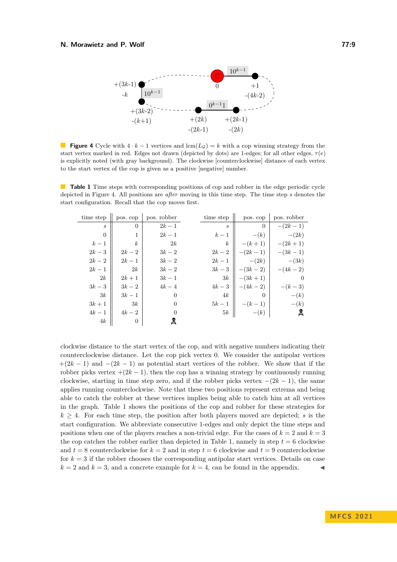<span id="page-8-0"></span>

**Figure 4** Cycle with  $4 \cdot k - 1$  vertices and lcm( $L_G$ ) = *k* with a cop winning strategy from the start vertex marked in red. Edges not drawn (depicted by dots) are 1-edges; for all other edges,  $\tau(e)$ is explicitly noted (with gray background). The clockwise [counterclockwise] distance of each vertex to the start vertex of the cop is given as a positive [negative] number.

<span id="page-8-1"></span>**Table 1** Time steps with corresponding positions of cop and robber in the edge periodic cycle depicted in Figure [4.](#page-8-0) All positions are *after* moving in this time step. The time step *s* denotes the start configuration. Recall that the cop moves first.

| time step                   | pos. cop         | pos. robber    | time step        | pos. cop  | pos. robber |
|-----------------------------|------------------|----------------|------------------|-----------|-------------|
| $\mathcal{S}_{\mathcal{S}}$ | $\theta$         | $2k-1$         | S                | $\theta$  | $-(2k-1)$   |
| $\theta$                    | 1                | $2k-1$         | $k-1$            | $-(k)$    | $-(2k)$     |
| $k-1$                       | $\boldsymbol{k}$ | 2k             | $\boldsymbol{k}$ | $-(k+1)$  | $-(2k+1)$   |
| $2k-3$                      | $2k-2$           | $3k-2$         | $2k-2$           | $-(2k-1)$ | $-(3k-1)$   |
| $2k-2$                      | $2k-1$           | $3k-2$         | $2k-1$           | $-(2k)$   | $-(3k)$     |
| $2k-1$                      | 2k               | $3k-2$         | $3k-3$           | $-(3k-2)$ | $-(4k-2)$   |
| 2k                          | $2k+1$           | $3k-1$         | 3k               | $-(3k+1)$ | $\theta$    |
| $3k-3$                      | $3k-2$           | $4k-4$         | $4k-3$           | $-(4k-2)$ | $-(k-3)$    |
| 3k                          | $3k-1$           | $\Omega$       | 4k               | 0         | $-(k)$      |
| $3k+1$                      | 3k               | $\Omega$       | $5k-1$           | $-(k-1)$  | $-(k)$      |
| $4k-1$                      | $4k-2$           | $\overline{0}$ | 5k               | $-(k)$    | 臭           |
| 4k                          | $\theta$         | ష              |                  |           |             |

clockwise distance to the start vertex of the cop, and with negative numbers indicating their counterclockwise distance. Let the cop pick vertex 0. We consider the antipolar vertices  $+(2k-1)$  and  $-(2k-1)$  as potential start vertices of the robber. We show that if the robber picks vertex  $+(2k-1)$ , then the cop has a winning strategy by continuously running clockwise, starting in time step zero, and if the robber picks vertex  $-(2k-1)$ , the same applies running counterclockwise. Note that these two positions represent extrema and being able to catch the robber at these vertices implies being able to catch him at all vertices in the graph. Table [1](#page-8-1) shows the positions of the cop and robber for these strategies for  $k \geq 4$ . For each time step, the position after both players moved are depicted; *s* is the start configuration. We abbreviate consecutive 1-edges and only depict the time steps and positions when one of the players reaches a non-trivial edge. For the cases of  $k = 2$  and  $k = 3$ the cop catches the robber earlier than depicted in Table [1,](#page-8-1) namely in step  $t = 6$  clockwise and  $t = 8$  counterclockwise for  $k = 2$  and in step  $t = 6$  clockwise and  $t = 9$  counterclockwise for  $k = 3$  if the robber chooses the corresponding antipolar start vertices. Details on case  $k = 2$  and  $k = 3$ , and a concrete example for  $k = 4$ , can be found in the appendix.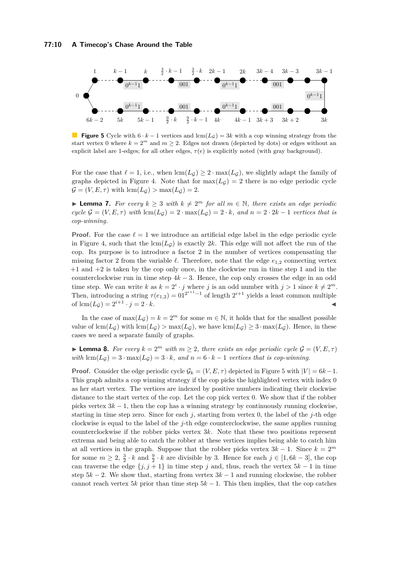#### **77:10 A Timecop's Chase Around the Table**

<span id="page-9-0"></span>

**Figure 5** Cycle with  $6 \cdot k - 1$  vertices and lcm( $L_g$ ) = 3*k* with a cop winning strategy from the start vertex 0 where  $k = 2^m$  and  $m \ge 2$ . Edges not drawn (depicted by dots) or edges without an explicit label are 1-edges; for all other edges,  $\tau(e)$  is explicitly noted (with gray background).

For the case that  $\ell = 1$ , i.e., when  $\text{lcm}(L_G) \geq 2 \cdot \text{max}(L_G)$ , we slightly adapt the family of graphs depicted in Figure [4.](#page-8-0) Note that for  $\max(L_G) = 2$  there is no edge periodic cycle  $\mathcal{G} = (V, E, \tau)$  with  $\text{lcm}(L_{\mathcal{G}}) > \text{max}(L_{\mathcal{G}}) = 2$ .

▶ **Lemma 7.** *For every*  $k \geq 3$  *with*  $k \neq 2^m$  *for all*  $m \in \mathbb{N}$ *, there exists an edge periodic*  $cycle \mathcal{G} = (V, E, \tau)$  *with*  $lcm(L_{\mathcal{G}}) = 2 \cdot max(L_{\mathcal{G}}) = 2 \cdot k$ , and  $n = 2 \cdot 2k - 1$  *vertices that is cop-winning.*

**Proof.** For the case  $\ell = 1$  we introduce an artificial edge label in the edge periodic cycle in Figure [4,](#page-8-0) such that the  $lcm(L<sub>G</sub>)$  is exactly 2*k*. This edge will not affect the run of the cop. Its purpose is to introduce a factor 2 in the number of vertices compensating the missing factor 2 from the variable  $\ell$ . Therefore, note that the edge  $e_{1,2}$  connecting vertex +1 and +2 is taken by the cop only once, in the clockwise run in time step 1 and in the counterclockwise run in time step 4*k* − 3. Hence, the cop only crosses the edge in an odd time step. We can write *k* as  $k = 2^i \cdot j$  where *j* is an odd number with  $j > 1$  since  $k \neq 2^m$ . Then, introducing a string  $\tau(e_{1,2}) = 01^{2^{i+1}-1}$  of length  $2^{i+1}$  yields a least common multiple of  $\text{lcm}(L_{\mathcal{G}}) = 2^{i+1} \cdot j = 2 \cdot k$ .

In the case of  $\max(L_G) = k = 2^m$  for some  $m \in \mathbb{N}$ , it holds that for the smallest possible value of  $\text{lcm}(L_G)$  with  $\text{lcm}(L_G)$  *>* max $(L_G)$ , we have  $\text{lcm}(L_G) \geq 3 \cdot \text{max}(L_G)$ . Hence, in these cases we need a separate family of graphs.

<span id="page-9-1"></span>**Lemma 8.** For every  $k = 2^m$  with  $m \geq 2$ , there exists an edge periodic cycle  $\mathcal{G} = (V, E, \tau)$ *with* lcm( $L_G$ ) = 3 · max( $L_G$ ) = 3 · *k, and*  $n = 6 \cdot k - 1$  *vertices that is cop-winning.* 

**Proof.** Consider the edge periodic cycle  $\mathcal{G}_k = (V, E, \tau)$  depicted in Figure [5](#page-9-0) with  $|V| = 6k - 1$ . This graph admits a cop winning strategy if the cop picks the highlighted vertex with index 0 as her start vertex. The vertices are indexed by positive numbers indicating their clockwise distance to the start vertex of the cop. Let the cop pick vertex 0. We show that if the robber picks vertex  $3k - 1$ , then the cop has a winning strategy by continuously running clockwise, starting in time step zero. Since for each  $j$ , starting from vertex 0, the label of the  $j$ -th edge clockwise is equal to the label of the *j*-th edge counterclockwise, the same applies running counterclockwise if the robber picks vertex 3*k*. Note that these two positions represent extrema and being able to catch the robber at these vertices implies being able to catch him at all vertices in the graph. Suppose that the robber picks vertex  $3k - 1$ . Since  $k = 2^m$ for some  $m \geq 2$ ,  $\frac{3}{2} \cdot k$  and  $\frac{9}{2} \cdot k$  are divisible by 3. Hence for each  $j \in [1, 6k - 3]$ , the cop can traverse the edge  $\{j, j+1\}$  in time step *j* and, thus, reach the vertex  $5k-1$  in time step  $5k - 2$ . We show that, starting from vertex  $3k - 1$  and running clockwise, the robber cannot reach vertex 5*k* prior than time step  $5k - 1$ . This then implies, that the cop catches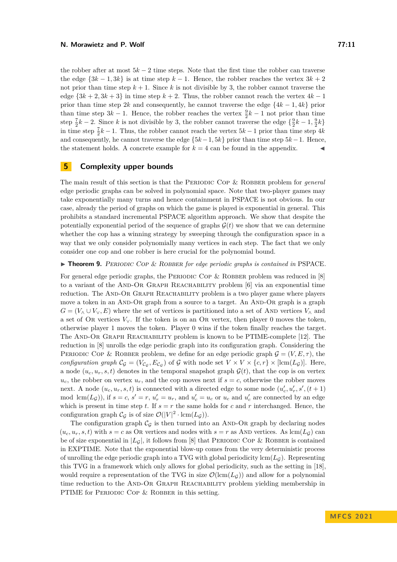the robber after at most  $5k - 2$  time steps. Note that the first time the robber can traverse the edge  $\{3k-1, 3k\}$  is at time step  $k-1$ . Hence, the robber reaches the vertex  $3k+2$ not prior than time step  $k + 1$ . Since k is not divisible by 3, the robber cannot traverse the edge  ${3k + 2, 3k + 3}$  in time step  $k + 2$ . Thus, the robber cannot reach the vertex  $4k - 1$ prior than time step 2*k* and consequently, he cannot traverse the edge  $\{4k - 1, 4k\}$  prior than time step  $3k - 1$ . Hence, the robber reaches the vertex  $\frac{9}{2}k - 1$  not prior than time step  $\frac{7}{2}k - 2$ . Since *k* is not divisible by 3, the robber cannot traverse the edge  $\{\frac{9}{2}k - 1, \frac{9}{2}k\}$ in time step  $\frac{7}{2}k - 1$ . Thus, the robber cannot reach the vertex  $5k - 1$  prior than time step  $4k$ and consequently, he cannot traverse the edge  ${5k-1, 5k}$  prior than time step  $5k-1$ . Hence, the statement holds. A concrete example for  $k = 4$  can be found in the appendix.

# <span id="page-10-0"></span>**5 Complexity upper bounds**

The main result of this section is that the PERIODIC COP & ROBBER problem for *general* edge periodic graphs can be solved in polynomial space. Note that two-player games may take exponentially many turns and hence containment in PSPACE is not obvious. In our case, already the period of graphs on which the game is played is exponential in general. This prohibits a standard incremental PSPACE algorithm approach. We show that despite the potentially exponential period of the sequence of graphs  $\mathcal{G}(t)$  we show that we can determine whether the cop has a winning strategy by sweeping through the configuration space in a way that we only consider polynomially many vertices in each step. The fact that we only consider one cop and one robber is here crucial for the polynomial bound.

<span id="page-10-1"></span>▶ **Theorem 9.** Periodic Cop & Robber *for edge periodic graphs is contained in* PSPACE*.*

For general edge periodic graphs, the PERIODIC COP & ROBBER problem was reduced in  $[8]$ to a variant of the AND-OR GRAPH REACHABILITY problem  $[6]$  via an exponential time reduction. The AND-OR GRAPH REACHABILITY problem is a two player game where players move a token in an AND-OR graph from a source to a target. An AND-OR graph is a graph  $G = (V_0 \cup V_0, E)$  where the set of vertices is partitioned into a set of AND vertices  $V_0$  and a set of OR vertices  $V_V$ . If the token is on an OR vertex, then player 0 moves the token, otherwise player 1 moves the token. Player 0 wins if the token finally reaches the target. The And-Or Graph Reachability problem is known to be PTIME-complete [\[12\]](#page-13-16). The reduction in [\[8\]](#page-13-9) unrolls the edge periodic graph into its configuration graph. Considering the PERIODIC COP & ROBBER problem, we define for an edge periodic graph  $\mathcal{G} = (V, E, \tau)$ , the *configuration graph*  $C_{\mathcal{G}} = (V_{C_{\mathcal{G}}}, E_{C_{\mathcal{G}}})$  of  $\mathcal{G}$  with node set  $V \times V \times \{c, r\} \times [\text{lcm}(L_{\mathcal{G}})]$ . Here, a node  $(u_c, u_r, s, t)$  denotes in the temporal snapshot graph  $\mathcal{G}(t)$ , that the cop is on vertex  $u_c$ , the robber on vertex  $u_r$ , and the cop moves next if  $s = c$ , otherwise the robber moves next. A node  $(u_c, u_r, s, t)$  is connected with a directed edge to some node  $(u'_c, u'_r, s', (t + 1))$ mod lcm( $L_g$ )), if  $s = c$ ,  $s' = r$ ,  $u'_r = u_r$ , and  $u'_c = u_c$  or  $u_c$  and  $u'_c$  are connected by an edge which is present in time step  $t$ . If  $s = r$  the same holds for  $c$  and  $r$  interchanged. Hence, the configuration graph  $\mathcal{C}_{\mathcal{G}}$  is of size  $\mathcal{O}(|V|^2 \cdot \text{lcm}(L_{\mathcal{G}})).$ 

The configuration graph  $C_G$  is then turned into an AND-OR graph by declaring nodes  $(u_c, u_r, s, t)$  with  $s = c$  as OR vertices and nodes with  $s = r$  as AND vertices. As lcm( $L_G$ ) can be of size exponential in  $|L_{\mathcal{G}}|$ , it follows from [\[8\]](#page-13-9) that PERIODIC COP & ROBBER is contained in EXPTIME. Note that the exponential blow-up comes from the very deterministic process of unrolling the edge periodic graph into a TVG with global periodicity  $lcm(L_G)$ . Representing this TVG in a framework which only allows for global periodicity, such as the setting in [\[18\]](#page-14-1), would require a representation of the TVG in size  $\mathcal{O}(\text{lcm}(L_G))$  and allow for a polynomial time reduction to the AND-OR GRAPH REACHABILITY problem yielding membership in PTIME for PERIODIC COP & ROBBER in this setting.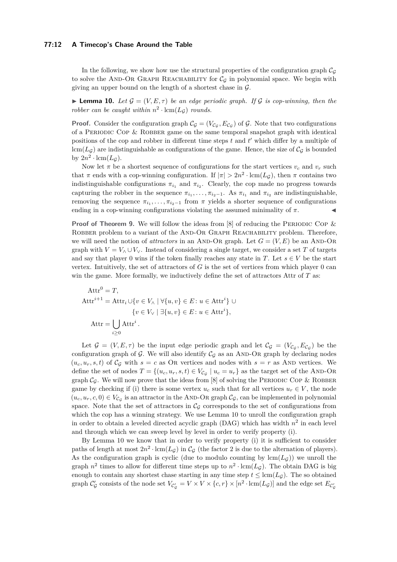#### **77:12 A Timecop's Chase Around the Table**

In the following, we show how use the structural properties of the configuration graph  $C_G$ to solve the AND-OR GRAPH REACHABILITY for  $\mathcal{C}_G$  in polynomial space. We begin with giving an upper bound on the length of a shortest chase in  $\mathcal{G}$ .

<span id="page-11-0"></span>**Lemma 10.** Let  $\mathcal{G} = (V, E, \tau)$  be an edge periodic graph. If G is cop-winning, then the *robber can be caught within*  $n^2 \cdot \text{lcm}(L_g)$  *rounds.* 

**Proof.** Consider the configuration graph  $\mathcal{C}_{\mathcal{G}} = (V_{\mathcal{C}_{\mathcal{G}}}, E_{\mathcal{C}_{\mathcal{G}}})$  of  $\mathcal{G}$ . Note that two configurations of a PERIODIC COP  $&$  ROBBER game on the same temporal snapshot graph with identical positions of the cop and robber in different time steps *t* and *t'* which differ by a multiple of  $lcm(L<sub>G</sub>)$  are indistinguishable as configurations of the game. Hence, the size of  $C<sub>G</sub>$  is bounded by  $2n^2 \cdot \text{lcm}(L_{\mathcal{G}})$ .

Now let  $\pi$  be a shortest sequence of configurations for the start vertices  $v_c$  and  $v_r$  such that  $\pi$  ends with a cop-winning configuration. If  $|\pi| > 2n^2 \cdot \text{lcm}(L_g)$ , then  $\pi$  contains two indistinguishable configurations  $\pi_{i_1}$  and  $\pi_{i_2}$ . Clearly, the cop made no progress towards capturing the robber in the sequence  $\pi_{i_1}, \ldots, \pi_{i_2-1}$ . As  $\pi_{i_1}$  and  $\pi_{i_2}$  are indistinguishable, removing the sequence  $\pi_{i_1}, \ldots, \pi_{i_2-1}$  from  $\pi$  yields a shorter sequence of configurations ending in a cop-winning configurations violating the assumed minimality of  $\pi$ .

**Proof of Theorem [9.](#page-10-1)** We will follow the ideas from [\[8\]](#page-13-9) of reducing the PERIODIC COP & ROBBER problem to a variant of the AND-OR GRAPH REACHABILITY problem. Therefore, we will need the notion of *attractors* in an AND-OR graph. Let  $G = (V, E)$  be an AND-OR graph with  $V = V_\wedge \cup V_\vee$ . Instead of considering a single target, we consider a set *T* of targets and say that player 0 wins if the token finally reaches any state in *T*. Let  $s \in V$  be the start vertex. Intuitively, the set of attractors of *G* is the set of vertices from which player 0 can win the game. More formally, we inductively define the set of attractors Attr of *T* as:

$$
Attr0 = T,
$$
  
\n
$$
Attri+1 = Attri \cup \{v \in V_{\land} \mid \forall \{u, v\} \in E : u \in Attri\} \cup \{v \in V_{\lor} \mid \exists \{u, v\} \in E : u \in Attri\},
$$
  
\n
$$
Attr = \bigcup_{i \geq 0} Attri.
$$

Let  $\mathcal{G} = (V, E, \tau)$  be the input edge periodic graph and let  $\mathcal{C}_{\mathcal{G}} = (V_{\mathcal{C}_{\mathcal{G}}}, E_{\mathcal{C}_{\mathcal{G}}})$  be the configuration graph of  $G$ . We will also identify  $C_G$  as an AND-OR graph by declaring nodes  $(u_c, u_r, s, t)$  of  $\mathcal{C}_{\mathcal{G}}$  with  $s = c$  as Or vertices and nodes with  $s = r$  as AND vertices. We define the set of nodes  $T = \{(u_c, u_r, s, t) \in V_{\mathcal{C}_{\mathcal{G}}} \mid u_c = u_r\}$  as the target set of the AND-OR graph  $\mathcal{C}_{\mathcal{G}}$ . We will now prove that the ideas from [\[8\]](#page-13-9) of solving the PERIODIC COP & ROBBER game by checking if (i) there is some vertex  $u_c$  such that for all vertices  $u_r \in V$ , the node  $(u_c, u_r, c, 0) \in V_{\mathcal{C}_{\mathcal{G}}}$  is an attractor in the AND-OR graph  $\mathcal{C}_{\mathcal{G}}$ , can be implemented in polynomial space. Note that the set of attractors in  $\mathcal{C}_G$  corresponds to the set of configurations from which the cop has a winning strategy. We use Lemma [10](#page-11-0) to unroll the configuration graph in order to obtain a leveled directed acyclic graph  $(DAG)$  which has width  $n^2$  in each level and through which we can sweep level by level in order to verify property (i).

By Lemma [10](#page-11-0) we know that in order to verify property (i) it is sufficient to consider paths of length at most  $2n^2 \cdot \text{lcm}(L_g)$  in  $\mathcal{C}_g$  (the factor 2 is due to the alternation of players). As the configuration graph is cyclic (due to modulo counting by  $\text{lcm}(L_G)$ ) we unroll the graph  $n^2$  times to allow for different time steps up to  $n^2 \cdot \text{lcm}(L_g)$ . The obtain DAG is big enough to contain any shortest chase starting in any time step  $t \leq \text{lcm}(L_{\mathcal{G}})$ . The so obtained graph  $\mathcal{C}'_{\mathcal{G}}$  consists of the node set  $V_{\mathcal{C}'_{\mathcal{G}}} = V \times V \times \{c, r\} \times [n^2 \cdot \text{lcm}(L_{\mathcal{G}})]$  and the edge set  $E_{\mathcal{C}'_{\mathcal{G}}}$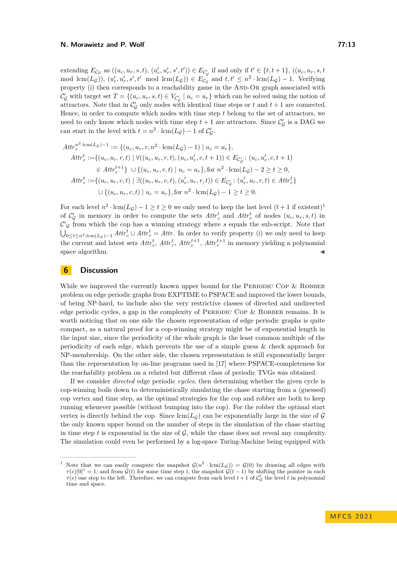extending  $E_{\mathcal{C}_{\mathcal{G}}}$  as  $((u_c, u_r, s, t), (u'_c, u'_r, s', t')) \in E_{\mathcal{C}_{\mathcal{G}}'}$  if and only if  $t' \in \{t, t + 1\}$ ,  $((u_c, u_r, s, t))$  $\text{mod }\operatorname{lcm}(L_{\mathcal{G}})$ ,  $(u'_{c}, u'_{r}, s', t' \mod \operatorname{lcm}(L_{\mathcal{G}})) \in E_{\mathcal{C}_{\mathcal{G}}}$  and  $t, t' \leq n^2 \cdot \operatorname{lcm}(L_{\mathcal{G}}) - 1$ . Verifying property (i) then corresponds to a reachability game in the And-Or graph associated with  $\mathcal{C}'_{\mathcal{G}}$  with target set  $T = \{(u_c, u_r, s, t) \in V_{\mathcal{C}'_{\mathcal{G}}} \mid u_c = u_r\}$  which can be solved using the notion of attractors. Note that in  $\mathcal{C}'_\mathcal{G}$  only nodes with identical time steps or  $t$  and  $t+1$  are connected. Hence, in order to compute which nodes with time step *t* belong to the set of attractors, we need to only know which nodes with time step  $t + 1$  are attractors. Since  $\mathcal{C}'_{\mathcal{G}}$  is a DAG we can start in the level with  $t = n^2 \cdot \text{lcm}(L_g) - 1$  of  $\mathcal{C}'_g$ .

$$
Attr_r^{n^2\cdot \text{lcm}(L_{\mathcal{G}})-1} := \{(u_c, u_r, r, n^2 \cdot \text{lcm}(L_{\mathcal{G}})-1) \mid u_c = u_r\},
$$
  
\n
$$
Attr_r^t := \{(u_c, u_r, r, t) \mid \forall ((u_c, u_r, r, t), (u_c, u'_r, c, t+1)) \in E_{\mathcal{C}'_{\mathcal{G}}} \colon (u_c, u'_r, c, t+1) \in
$$
  
\n
$$
\in Att_r^{t+1}\} \cup \{(u_c, u_r, r, t) \mid u_c = u_r\}, \text{for } n^2 \cdot \text{lcm}(L_{\mathcal{G}}) - 2 \ge t \ge 0,
$$
  
\n
$$
Attr_c^t := \{(u_c, u_r, c, t) \mid \exists ((u_c, u_r, c, t), (u'_c, u_r, r, t)) \in E_{\mathcal{C}'_{\mathcal{G}}} \colon (u'_c, u_r, r, t) \in Att_r^t\}
$$
  
\n
$$
\cup \{(u_c, u_r, c, t) \mid u_c = u_r\}, \text{for } n^2 \cdot \text{lcm}(L_{\mathcal{G}}) - 1 \ge t \ge 0.
$$

For each level  $n^2 \cdot \text{lcm}(L_g) - 1 \ge t \ge 0$  $n^2 \cdot \text{lcm}(L_g) - 1 \ge t \ge 0$  $n^2 \cdot \text{lcm}(L_g) - 1 \ge t \ge 0$  we only need to keep the last level  $(t+1 \text{ if existent})^1$ of  $\mathcal{C}'_\mathcal{G}$  in memory in order to compute the sets  $Attr_c^t$  and  $Attr_r^t$  of nodes  $(u_c, u_r, s, t)$  in  $\mathcal{C}'_{\mathcal{G}}$  from which the cop has a winning strategy where  $s$  equals the sub-script. Note that U<sub>0≤t≤n<sup>2</sup>·lcm( $L_g$ )−1</sub>  $Attr_c^t \cup Attr_r^t =Attr$ . In order to verify property (i) we only need to keep the current and latest sets  $Attr_c^t$ ,  $Attr_c^t$ ,  $Attr_c^{t+1}$ ,  $Attr_c^{t+1}$  in memory yielding a polynomial  $\blacksquare$  space algorithm.  $\blacksquare$ 

# <span id="page-12-0"></span>**6 Discussion**

While we improved the currently known upper bound for the PERIODIC COP  $\&$  ROBBER problem on edge periodic graphs from EXPTIME to PSPACE and improved the lower bounds, of being NP-hard, to include also the very restrictive classes of directed and undirected edge periodic cycles, a gap in the complexity of PERIODIC COP  $&$  ROBBER remains. It is worth noticing that on one side the chosen representation of edge periodic graphs is quite compact, as a natural proof for a cop-winning strategy might be of exponential length in the input size, since the periodicity of the whole graph is the least common multiple of the periodicity of each edge, which prevents the use of a simple guess & check approach for NP-membership. On the other side, the chosen representation is still exponentially larger than the representation by on-line programs used in [\[17\]](#page-13-8) where PSPACE-completeness for the reachability problem on a related but different class of periodic TVGs was obtained.

If we consider *directed* edge periodic *cycles*, then determining whether the given cycle is cop-winning boils down to deterministically simulating the chase starting from a (guessed) cop vertex and time step, as the optimal strategies for the cop and robber are both to keep running whenever possible (without bumping into the cop). For the robber the optimal start vertex is directly behind the cop. Since  $lcm(L_G)$  can be exponentially large in the size of G the only known upper bound on the number of steps in the simulation of the chase starting in time step  $t$  is exponential in the size of  $\mathcal G$ , while the chase does not reveal any complexity. The simulation could even be performed by a log-space Turing-Machine being equipped with

<span id="page-12-1"></span><sup>&</sup>lt;sup>1</sup> Note that we can easily compute the snapshot  $\mathcal{G}(n^2 \cdot \text{lcm}(L_g)) = \mathcal{G}(0)$  by drawing all edges with  $\tau(e)[0]^\circ = 1$ ; and from  $\mathcal{G}(t)$  for some time step *t*, the snapshot  $\mathcal{G}(t-1)$  by shifting the pointer in each  $\tau(e)$  one step to the left. Therefore, we can compute from each level  $t+1$  of  $\mathcal{C}'_g$  the level  $t$  in polynomial time and space.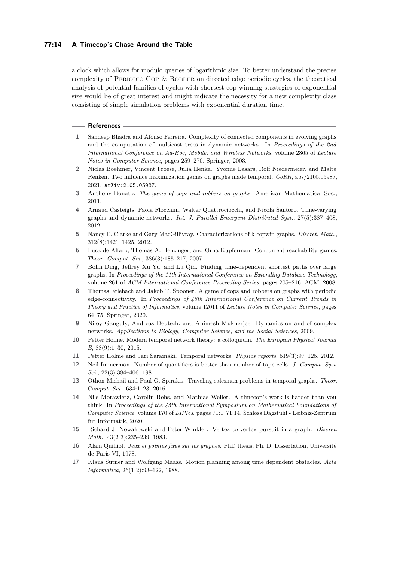# **77:14 A Timecop's Chase Around the Table**

a clock which allows for modulo queries of logarithmic size. To better understand the precise complexity of Periodic Cop & Robber on directed edge periodic cycles, the theoretical analysis of potential families of cycles with shortest cop-winning strategies of exponential size would be of great interest and might indicate the necessity for a new complexity class consisting of simple simulation problems with exponential duration time.

#### **References**

- <span id="page-13-6"></span>**1** Sandeep Bhadra and Afonso Ferreira. Complexity of connected components in evolving graphs and the computation of multicast trees in dynamic networks. In *Proceedings of the 2nd International Conference on Ad-Hoc, Mobile, and Wireless Networks*, volume 2865 of *Lecture Notes in Computer Science*, pages 259–270. Springer, 2003.
- <span id="page-13-5"></span>**2** Niclas Boehmer, Vincent Froese, Julia Henkel, Yvonne Lasars, Rolf Niedermeier, and Malte Renken. Two influence maximization games on graphs made temporal. *CoRR*, abs/2105.05987, 2021. [arXiv:2105.05987](http://arxiv.org/abs/2105.05987).
- <span id="page-13-10"></span>**3** Anthony Bonato. *The game of cops and robbers on graphs*. American Mathematical Soc., 2011.
- <span id="page-13-0"></span>**4** Arnaud Casteigts, Paola Flocchini, Walter Quattrociocchi, and Nicola Santoro. Time-varying graphs and dynamic networks. *Int. J. Parallel Emergent Distributed Syst.*, 27(5):387–408, 2012.
- <span id="page-13-13"></span>**5** Nancy E. Clarke and Gary MacGillivray. Characterizations of k-copwin graphs. *Discret. Math.*, 312(8):1421–1425, 2012.
- <span id="page-13-15"></span>**6** Luca de Alfaro, Thomas A. Henzinger, and Orna Kupferman. Concurrent reachability games. *Theor. Comput. Sci.*, 386(3):188–217, 2007.
- <span id="page-13-4"></span>**7** Bolin Ding, Jeffrey Xu Yu, and Lu Qin. Finding time-dependent shortest paths over large graphs. In *Proceedings of the 11th International Conference on Extending Database Technology*, volume 261 of *ACM International Conference Proceeding Series*, pages 205–216. ACM, 2008.
- <span id="page-13-9"></span>**8** Thomas Erlebach and Jakob T. Spooner. A game of cops and robbers on graphs with periodic edge-connectivity. In *Proceedings of 46th International Conference on Current Trends in Theory and Practice of Informatics*, volume 12011 of *Lecture Notes in Computer Science*, pages 64–75. Springer, 2020.
- <span id="page-13-1"></span>**9** Niloy Ganguly, Andreas Deutsch, and Animesh Mukherjee. Dynamics on and of complex networks. *Applications to Biology, Computer Science, and the Social Sciences*, 2009.
- <span id="page-13-2"></span>**10** Petter Holme. Modern temporal network theory: a colloquium. *The European Physical Journal B*, 88(9):1–30, 2015.
- <span id="page-13-3"></span>**11** Petter Holme and Jari Saramäki. Temporal networks. *Physics reports*, 519(3):97–125, 2012.
- <span id="page-13-16"></span>**12** Neil Immerman. Number of quantifiers is better than number of tape cells. *J. Comput. Syst. Sci.*, 22(3):384–406, 1981.
- <span id="page-13-7"></span>**13** Othon Michail and Paul G. Spirakis. Traveling salesman problems in temporal graphs. *Theor. Comput. Sci.*, 634:1–23, 2016.
- <span id="page-13-14"></span>**14** Nils Morawietz, Carolin Rehs, and Mathias Weller. A timecop's work is harder than you think. In *Proceedings of the 45th International Symposium on Mathematical Foundations of Computer Science*, volume 170 of *LIPIcs*, pages 71:1–71:14. Schloss Dagstuhl - Leibniz-Zentrum für Informatik, 2020.
- <span id="page-13-12"></span>**15** Richard J. Nowakowski and Peter Winkler. Vertex-to-vertex pursuit in a graph. *Discret. Math.*, 43(2-3):235–239, 1983.
- <span id="page-13-11"></span>**16** Alain Quilliot. *Jeux et pointes fixes sur les graphes*. PhD thesis, Ph. D. Dissertation, Université de Paris VI, 1978.
- <span id="page-13-8"></span>**17** Klaus Sutner and Wolfgang Maass. Motion planning among time dependent obstacles. *Acta Informatica*, 26(1-2):93–122, 1988.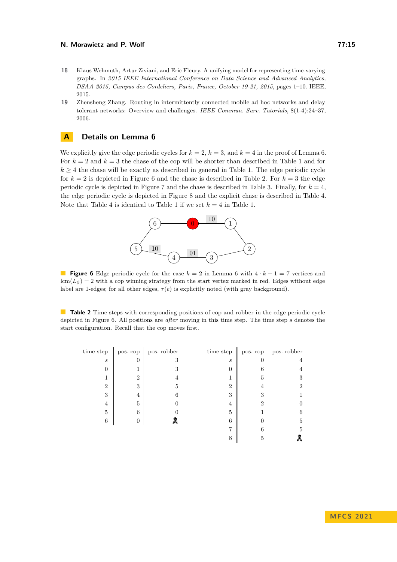- <span id="page-14-1"></span>**18** Klaus Wehmuth, Artur Ziviani, and Eric Fleury. A unifying model for representing time-varying graphs. In *2015 IEEE International Conference on Data Science and Advanced Analytics, DSAA 2015, Campus des Cordeliers, Paris, France, October 19-21, 2015*, pages 1–10. IEEE, 2015.
- <span id="page-14-0"></span>**19** Zhensheng Zhang. Routing in intermittently connected mobile ad hoc networks and delay tolerant networks: Overview and challenges. *IEEE Commun. Surv. Tutorials*, 8(1-4):24–37, 2006.

# **A Details on Lemma [6](#page-7-2)**

<span id="page-14-2"></span>We explicitly give the edge periodic cycles for  $k = 2$ ,  $k = 3$ , and  $k = 4$  in the proof of Lemma [6.](#page-7-2) For  $k = 2$  and  $k = 3$  the chase of the cop will be shorter than described in Table [1](#page-8-1) and for  $k \geq 4$  the chase will be exactly as described in general in Table [1.](#page-8-1) The edge periodic cycle for  $k = 2$  is depicted in Figure [6](#page-14-2) and the chase is described in Table [2.](#page-14-3) For  $k = 3$  the edge periodic cycle is depicted in Figure [7](#page-15-0) and the chase is described in Table [3.](#page-15-1) Finally, for  $k = 4$ , the edge periodic cycle is depicted in Figure [8](#page-15-2) and the explicit chase is described in Table [4.](#page-16-0) Note that Table [4](#page-16-0) is identical to Table [1](#page-8-1) if we set  $k = 4$  in Table [1.](#page-8-1)



**Figure 6** Edge periodic cycle for the case *k* = 2 in Lemma [6](#page-7-2) with 4 · *k* − 1 = 7 vertices and  $lcm(Lg) = 2$  with a cop winning strategy from the start vertex marked in red. Edges without edge label are 1-edges; for all other edges,  $\tau(e)$  is explicitly noted (with gray background).

<span id="page-14-3"></span>**Table 2** Time steps with corresponding positions of cop and robber in the edge periodic cycle depicted in Figure [6.](#page-14-2) All positions are *after* moving in this time step. The time step *s* denotes the start configuration. Recall that the cop moves first.

| time step         | pos. cop       | pos. robber | time step         | pos. cop       | $\,$ pos. $\,$ robber |
|-------------------|----------------|-------------|-------------------|----------------|-----------------------|
| $\mathcal{S}_{0}$ | $\Omega$       | 3           | $\mathcal{S}_{0}$ | $\theta$       | 4                     |
| $\theta$          |                | 3           | 0                 | 6              | 4                     |
|                   | $\overline{2}$ |             |                   | 5              | 3                     |
| $\overline{2}$    | 3              | 5           | 2                 | 4              | $\overline{2}$        |
| 3                 | 4              | 6           | 3                 | 3              |                       |
| 4                 | 5              |             | 4                 | $\overline{2}$ |                       |
| 5                 | 6              |             | 5                 |                | 6                     |
| 6                 | 0              | Д           | 6                 | $\mathbf{0}$   | 5                     |
|                   |                |             |                   | 6              | 5                     |
|                   |                |             | 8                 | 5              | 2                     |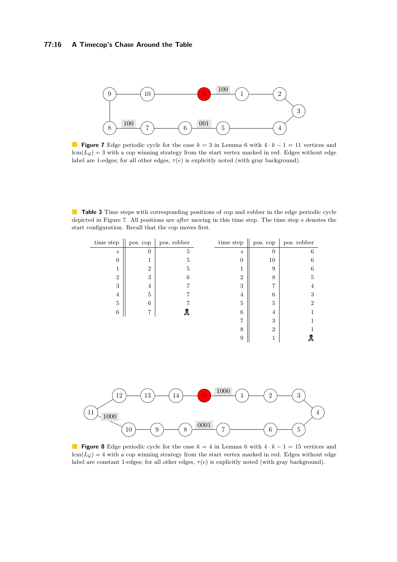### **77:16 A Timecop's Chase Around the Table**

<span id="page-15-0"></span>

**Figure 7** Edge periodic cycle for the case  $k = 3$  in Lemma [6](#page-7-2) with  $4 \cdot k - 1 = 11$  vertices and  $lcm(L<sub>G</sub>) = 3$  with a cop winning strategy from the start vertex marked in red. Edges without edge label are 1-edges; for all other edges,  $\tau(e)$  is explicitly noted (with gray background).

<span id="page-15-1"></span>**Table 3** Time steps with corresponding positions of cop and robber in the edge periodic cycle depicted in Figure [7.](#page-15-0) All positions are *after* moving in this time step. The time step *s* denotes the start configuration. Recall that the cop moves first.

| time step        | pos. cop       | pos. robber | time step         | pos. cop       | pos. robber |
|------------------|----------------|-------------|-------------------|----------------|-------------|
| $\boldsymbol{s}$ | $\Omega$       | 5           | $\mathcal{S}_{0}$ | $\overline{0}$ | 6           |
| 0                |                | 5           | $\overline{0}$    | 10             | 6           |
|                  | $\overline{2}$ | 5           | T.                | 9              | 6           |
| $\overline{2}$   | 3              | 6           | $\overline{2}$    | 8              | 5           |
| 3                | 4              |             | 3                 | 7              | 4           |
| 4                | 5              |             | 4                 | 6              | 3           |
| 5                | 6              |             | $\overline{5}$    | 5              | 2           |
| 6                | 7              | Д           | 6                 | 4              |             |
|                  |                |             | 7                 | 3              |             |
|                  |                |             | 8                 | $\overline{2}$ |             |
|                  |                |             | 9                 |                | 2           |

<span id="page-15-2"></span>

**Figure 8** Edge periodic cycle for the case  $k = 4$  in Lemma [6](#page-7-2) with  $4 \cdot k - 1 = 15$  vertices and  $lcm(L<sub>G</sub>) = 4$  with a cop winning strategy from the start vertex marked in red. Edges without edge label are constant 1-edges; for all other edges, *τ* (*e*) is explicitly noted (with gray background).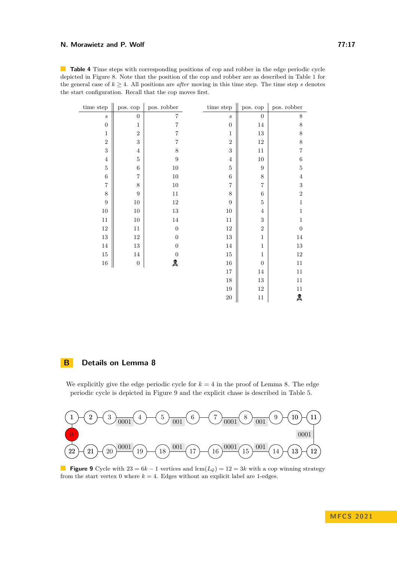<span id="page-16-0"></span>**Table 4** Time steps with corresponding positions of cop and robber in the edge periodic cycle depicted in Figure [8.](#page-15-2) Note that the position of the cop and robber are as described in Table [1](#page-8-1) for the general case of  $k \geq 4$ . All positions are *after* moving in this time step. The time step *s* denotes the start configuration. Recall that the cop moves first.

| time step        | pos. cop                | pos. robber      | time step        | pos. cop         | pos. robber    |
|------------------|-------------------------|------------------|------------------|------------------|----------------|
| $\boldsymbol{s}$ | $\overline{0}$          | $\overline{7}$   | $\boldsymbol{s}$ | $\boldsymbol{0}$ | $8\,$          |
| $\boldsymbol{0}$ | $\mathbf{1}$            | $\overline{7}$   | $\boldsymbol{0}$ | $14\,$           | 8              |
| $\mathbf{1}$     | $\sqrt{2}$              | $\overline{7}$   | $\mathbf 1$      | $13\,$           | $8\,$          |
| $\sqrt{2}$       | $\boldsymbol{3}$        | $\overline{7}$   | $\overline{2}$   | $12\,$           | $8\,$          |
| $\sqrt{3}$       | $\overline{4}$          | 8                | 3                | $11\,$           | $\overline{7}$ |
| $\overline{4}$   | $\bf 5$                 | $\overline{9}$   | $\overline{4}$   | $10\,$           | 6              |
| $\bf 5$          | $\,6$                   | $10\,$           | $\overline{5}$   | $\boldsymbol{9}$ | $\bf 5$        |
| $\,6$            | $\overline{\mathbf{7}}$ | $10\,$           | $\sqrt{6}$       | $\,$ $\,$        | $\bf 4$        |
| $\overline{7}$   | 8                       | $10\,$           | $\overline{7}$   | $\overline{7}$   | 3              |
| $8\,$            | $\boldsymbol{9}$        | $11\,$           | 8                | $\,6\,$          | $\sqrt{2}$     |
| 9                | $10\,$                  | $12\,$           | $\overline{9}$   | $\overline{5}$   | $\mathbf 1$    |
| $10\,$           | $10\,$                  | $13\,$           | $10\,$           | $\,4\,$          | $\mathbf{1}$   |
| $11\,$           | $10\,$                  | $14\,$           | $11\,$           | $\sqrt{3}$       | $\mathbf{1}$   |
| $12\,$           | $11\,$                  | $\boldsymbol{0}$ | $12\,$           | $\sqrt{2}$       | $\overline{0}$ |
| $13\,$           | $12\,$                  | $\overline{0}$   | $13\,$           | $\mathbf{1}$     | $14\,$         |
| $14\,$           | $13\,$                  | $\boldsymbol{0}$ | $14\,$           | $\mathbf 1$      | $13\,$         |
| $15\,$           | $14\,$                  | $\boldsymbol{0}$ | $15\,$           | $\mathbf{1}$     | $12\,$         |
| $16\,$           | $\boldsymbol{0}$        | Д                | $16\,$           | $\boldsymbol{0}$ | $11\,$         |
|                  |                         |                  | $17\,$           | $14\,$           | $11\,$         |
|                  |                         |                  | $18\,$           | $13\,$           | $11\,$         |
|                  |                         |                  | $19\,$           | $12\,$           | $11\,$         |
|                  |                         |                  | $20\,$           | $11\,$           | Д              |

# **B Details on Lemma [8](#page-9-1)**

We explicitly give the edge periodic cycle for  $k = 4$  in the proof of Lemma [8.](#page-9-1) The edge periodic cycle is depicted in Figure [9](#page-16-1) and the explicit chase is described in Table [5.](#page-17-0)

<span id="page-16-1"></span>

**Figure 9** Cycle with  $23 = 6k - 1$  vertices and lcm( $L_g$ ) = 12 = 3*k* with a cop winning strategy from the start vertex 0 where  $k = 4$ . Edges without an explicit label are 1-edges.